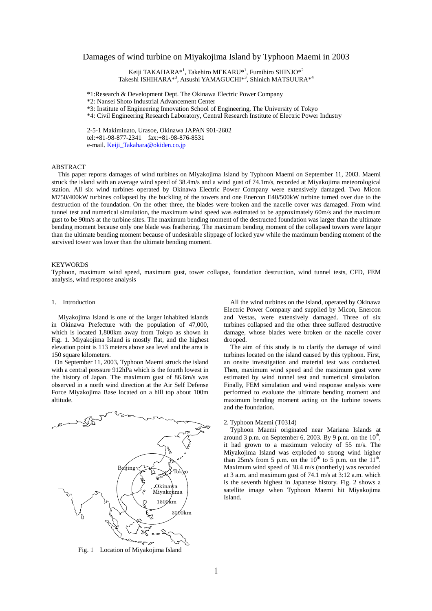# Damages of wind turbine on Miyakojima Island by Typhoon Maemi in 2003

Keiji TAKAHARA\*<sup>1</sup>, Takehiro MEKARU\*<sup>1</sup>, Fumihiro SHINJO\*<sup>2</sup> Takeshi ISHIHARA\*<sup>3</sup>, Atsushi YAMAGUCHI\*<sup>3</sup>, Shinich MATSUURA\*<sup>4</sup>

\*1:Research & Development Dept. The Okinawa Electric Power Company

\*2: Nansei Shoto Industrial Advancement Center

\*3: Institute of Engineering Innovation School of Engineering, The University of Tokyo

\*4: Civil Engineering Research Laboratory, Central Research Institute of Electric Power Industry

2-5-1 Makiminato, Urasoe, Okinawa JAPAN 901-2602 tel:+81-98-877-2341 fax:+81-98-876-8531 e-mail. Keiji\_Takahara@okiden.co.jp

### ABSTRACT

This paper reports damages of wind turbines on Miyakojima Island by Typhoon Maemi on September 11, 2003. Maemi struck the island with an average wind speed of 38.4m/s and a wind gust of 74.1m/s, recorded at Miyakojima meteorological station. All six wind turbines operated by Okinawa Electric Power Company were extensively damaged. Two Micon M750/400kW turbines collapsed by the buckling of the towers and one Enercon E40/500kW turbine turned over due to the destruction of the foundation. On the other three, the blades were broken and the nacelle cover was damaged. From wind tunnel test and numerical simulation, the maximum wind speed was estimated to be approximately 60m/s and the maximum gust to be 90m/s at the turbine sites. The maximum bending moment of the destructed foundation was larger than the ultimate bending moment because only one blade was feathering. The maximum bending moment of the collapsed towers were larger than the ultimate bending moment because of undesirable slippage of locked yaw while the maximum bending moment of the survived tower was lower than the ultimate bending moment.

#### **KEYWORDS**

Typhoon, maximum wind speed, maximum gust, tower collapse, foundation destruction, wind tunnel tests, CFD, FEM analysis, wind response analysis

#### 1. Introduction

Miyakojima Island is one of the larger inhabited islands in Okinawa Prefecture with the population of 47,000, which is located 1,800km away from Tokyo as shown in Fig. 1. Miyakojima Island is mostly flat, and the highest elevation point is 113 meters above sea level and the area is 150 square kilometers.

On September 11, 2003, Typhoon Maemi struck the island with a central pressure 912hPa which is the fourth lowest in the history of Japan. The maximum gust of 86.6m/s was observed in a north wind direction at the Air Self Defense Force Miyakojima Base located on a hill top about 100m altitude.



Fig. 1 Location of Miyakojima Island

All the wind turbines on the island, operated by Okinawa Electric Power Company and supplied by Micon, Enercon and Vestas, were extensively damaged. Three of six turbines collapsed and the other three suffered destructive damage, whose blades were broken or the nacelle cover drooped.

The aim of this study is to clarify the damage of wind turbines located on the island caused by this typhoon. First, an onsite investigation and material test was conducted. Then, maximum wind speed and the maximum gust were estimated by wind tunnel test and numerical simulation. Finally, FEM simulation and wind response analysis were performed to evaluate the ultimate bending moment and maximum bending moment acting on the turbine towers and the foundation.

### 2. Typhoon Maemi (T0314)

 Typhoon Maemi originated near Mariana Islands at around 3 p.m. on September 6, 2003. By 9 p.m. on the  $10<sup>th</sup>$ , it had grown to a maximum velocity of 55 m/s. The Miyakojima Island was exploded to strong wind higher than  $25m/s$  from 5 p.m. on the  $10^{th}$  to 5 p.m. on the  $11^{th}$ . Maximum wind speed of 38.4 m/s (northerly) was recorded at 3 a.m. and maximum gust of 74.1 m/s at 3:12 a.m. which is the seventh highest in Japanese history. Fig. 2 shows a satellite image when Typhoon Maemi hit Miyakojima Island.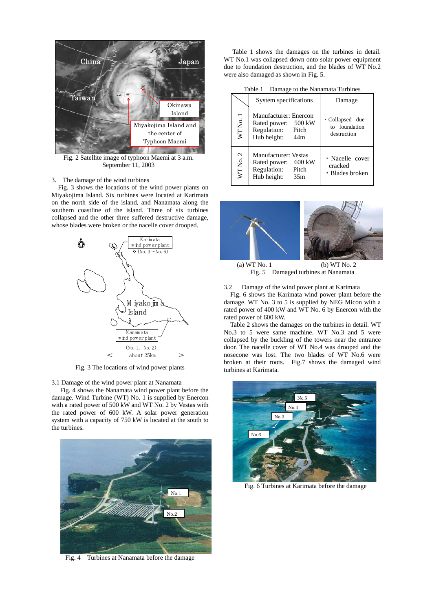

Fig. 2 Satellite image of typhoon Maemi at 3 a.m. September 11, 2003

#### 3. The damage of the wind turbines

Fig. 3 shows the locations of the wind power plants on Miyakojima Island. Six turbines were located at Karimata on the north side of the island, and Nanamata along the southern coastline of the island. Three of six turbines collapsed and the other three suffered destructive damage, whose blades were broken or the nacelle cover drooped.



Fig. 3 The locations of wind power plants

3.1 Damage of the wind power plant at Nanamata

Fig. 4 shows the Nanamata wind power plant before the damage. Wind Turbine (WT) No. 1 is supplied by Enercon with a rated power of 500 kW and WT No. 2 by Vestas with the rated power of 600 kW. A solar power generation system with a capacity of 750 kW is located at the south to the turbines.



Fig. 4 Turbines at Nanamata before the damage

Table 1 shows the damages on the turbines in detail. WT No.1 was collapsed down onto solar power equipment due to foundation destruction, and the blades of WT No.2 were also damaged as shown in Fig. 5.

Table 1 Damage to the Nanamata Turbines

|                  | System specifications                                                                      | Damage                                                |  |
|------------------|--------------------------------------------------------------------------------------------|-------------------------------------------------------|--|
| WT No. 1         | Manufacturer: Enercon<br>Rated power: 500 kW<br>Regulation: Pitch<br>Hub height: 44m       | $\cdot$ Collapsed due<br>to foundation<br>destruction |  |
| $\sim$<br>WT No. | <b>Manufacturer: Vestas</b><br>Rated power: 600 kW<br>Regulation: Pitch<br>Hub height: 35m | • Nacelle cover<br>cracked<br>· Blades broken         |  |



Fig. 5 Damaged turbines at Nanamata

3.2 Damage of the wind power plant at Karimata

Fig. 6 shows the Karimata wind power plant before the damage. WT No. 3 to 5 is supplied by NEG Micon with a rated power of 400 kW and WT No. 6 by Enercon with the rated power of 600 kW.

Table 2 shows the damages on the turbines in detail. WT No.3 to 5 were same machine. WT No.3 and 5 were collapsed by the buckling of the towers near the entrance door. The nacelle cover of WT No.4 was drooped and the nosecone was lost. The two blades of WT No.6 were broken at their roots. Fig.7 shows the damaged wind turbines at Karimata.



Fig. 6 Turbines at Karimata before the damage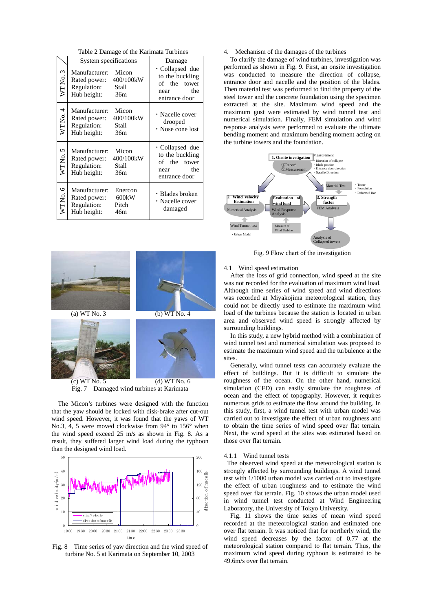Table 2 Damage of the Karimata Turbines

|            | System specifications                                                                             | Damage                                                                                   |  |
|------------|---------------------------------------------------------------------------------------------------|------------------------------------------------------------------------------------------|--|
| WT No. 3   | Manufacturer:<br>Micon<br>400/100kW<br>Rated power:<br>Regulation:<br>Stall<br>Hub height:<br>36m | · Collapsed due<br>to the buckling<br>of the tower<br>the<br>near<br>entrance door       |  |
| WTNo.4     | Manufacturer:<br>Micon<br>400/100kW<br>Rated power:<br>Regulation:<br>Stall<br>Hub height:<br>36m | • Nacelle cover<br>drooped<br>• Nose cone lost                                           |  |
| WTNo.5     | Manufacturer:<br>Micon<br>400/100kW<br>Rated power:<br>Regulation:<br>Stall<br>Hub height:<br>36m | $\cdot$ Collapsed due<br>to the buckling<br>of the tower<br>the<br>near<br>entrance door |  |
| 6<br>WTNo. | Manufacturer:<br>Enercon<br>600kW<br>Rated power:<br>Regulation:<br>Pitch<br>Hub height:<br>46m   | • Blades broken<br>• Nacelle cover<br>damaged                                            |  |



Fig. 7 Damaged wind turbines at Karimata

The Micon's turbines were designed with the function that the yaw should be locked with disk-brake after cut-out wind speed. However, it was found that the yaws of WT No.3, 4, 5 were moved clockwise from 94° to 156° when the wind speed exceed 25 m/s as shown in Fig. 8. As a result, they suffered larger wind load during the typhoon than the designed wind load.



Fig. 8 Time series of yaw direction and the wind speed of turbine No. 5 at Karimata on September 10, 2003

### 4. Mechanism of the damages of the turbines

To clarify the damage of wind turbines, investigation was performed as shown in Fig. 9. First, an onsite investigation was conducted to measure the direction of collapse, entrance door and nacelle and the position of the blades. Then material test was performed to find the property of the steel tower and the concrete foundation using the specimen extracted at the site. Maximum wind speed and the maximum gust were estimated by wind tunnel test and numerical simulation. Finally, FEM simulation and wind response analysis were performed to evaluate the ultimate bending moment and maximum bending moment acting on the turbine towers and the foundation.



Fig. 9 Flow chart of the investigation

4.1 Wind speed estimation

After the loss of grid connection, wind speed at the site was not recorded for the evaluation of maximum wind load. Although time series of wind speed and wind directions was recorded at Miyakojima meteorological station, they could not be directly used to estimate the maximum wind load of the turbines because the station is located in urban area and observed wind speed is strongly affected by surrounding buildings.

In this study, a new hybrid method with a combination of wind tunnel test and numerical simulation was proposed to estimate the maximum wind speed and the turbulence at the sites.

 Generally, wind tunnel tests can accurately evaluate the effect of buildings. But it is difficult to simulate the roughness of the ocean. On the other hand, numerical simulation (CFD) can easily simulate the roughness of ocean and the effect of topography. However, it requires numerous grids to estimate the flow around the building. In this study, first, a wind tunnel test with urban model was carried out to investigate the effect of urban roughness and to obtain the time series of wind speed over flat terrain. Next, the wind speed at the sites was estimated based on those over flat terrain.

### 4.1.1 Wind tunnel tests

The observed wind speed at the meteorological station is strongly affected by surrounding buildings. A wind tunnel test with 1/1000 urban model was carried out to investigate the effect of urban roughness and to estimate the wind speed over flat terrain. Fig. 10 shows the urban model used in wind tunnel test conducted at Wind Engineering Laboratory, the University of Tokyo University.

Fig. 11 shows the time series of mean wind speed recorded at the meteorological station and estimated one over flat terrain. It was noticed that for northerly wind, the wind speed decreases by the factor of 0.77 at the meteorological station compared to flat terrain. Thus, the maximum wind speed during typhoon is estimated to be 49.6m/s over flat terrain.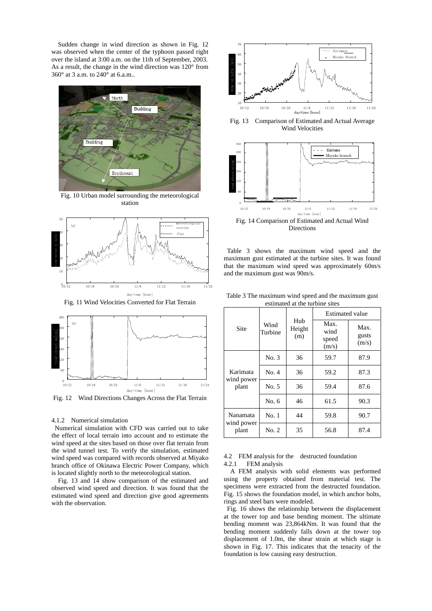Sudden change in wind direction as shown in Fig. 12 was observed when the center of the typhoon passed right over the island at 3:00 a.m. on the 11th of September, 2003. As a result, the change in the wind direction was 120° from 360° at 3 a.m. to 240° at 6.a.m..



Fig. 10 Urban model surrounding the meteorological station



Fig. 11 Wind Velocities Converted for Flat Terrain



Fig. 12 Wind Directions Changes Across the Flat Terrain

#### 4.1.2 Numerical simulation

Numerical simulation with CFD was carried out to take the effect of local terrain into account and to estimate the wind speed at the sites based on those over flat terrain from the wind tunnel test. To verify the simulation, estimated wind speed was compared with records observed at Miyako branch office of Okinawa Electric Power Company, which is located slightly north to the meteorological station.

Fig. 13 and 14 show comparison of the estimated and observed wind speed and direction. It was found that the estimated wind speed and direction give good agreements with the observation.



Fig. 13 Comparison of Estimated and Actual Average Wind Velocities



Fig. 14 Comparison of Estimated and Actual Wind Directions

Table 3 shows the maximum wind speed and the maximum gust estimated at the turbine sites. It was found that the maximum wind speed was approximately 60m/s and the maximum gust was 90m/s.

|                     | Wind<br>Turbine | Hub<br>Height<br>(m) | <b>Estimated value</b>         |                        |  |
|---------------------|-----------------|----------------------|--------------------------------|------------------------|--|
| Site                |                 |                      | Max.<br>wind<br>speed<br>(m/s) | Max.<br>gusts<br>(m/s) |  |
|                     | No. 3           | 36                   | 59.7                           | 87.9                   |  |
| Karimata            | No. 4           | 36                   | 59.2                           | 87.3                   |  |
| wind power<br>plant | No. 5           | 36                   | 59.4                           | 87.6                   |  |
|                     | No. 6           | 46                   | 61.5                           | 90.3                   |  |
| Nanamata            | No.1            | 44                   | 59.8                           | 90.7                   |  |
| wind power<br>plant | No. 2           | 35                   | 56.8                           | 87.4                   |  |

Table 3 The maximum wind speed and the maximum gust estimated at the turbine sites

### 4.2 FEM analysis for the destructed foundation 4.2.1 FEM analysis

A FEM analysis with solid elements was performed using the property obtained from material test. The specimens were extracted from the destructed foundation. Fig. 15 shows the foundation model, in which anchor bolts, rings and steel bars were modeled.

Fig. 16 shows the relationship between the displacement at the tower top and base bending moment. The ultimate bending moment was 23,864kNm. It was found that the bending moment suddenly falls down at the tower top displacement of 1.0m, the shear strain at which stage is shown in Fig. 17. This indicates that the tenacity of the foundation is low causing easy destruction.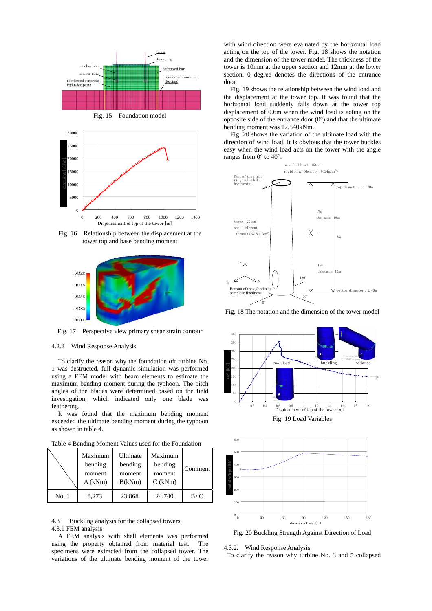

Fig. 15 Foundation model



Fig. 16 Relationship between the displacement at the tower top and base bending moment



Fig. 17 Perspective view primary shear strain contour

## 4.2.2 Wind Response Analysis

To clarify the reason why the foundation oft turbine No. 1 was destructed, full dynamic simulation was performed using a FEM model with beam elements to estimate the maximum bending moment during the typhoon. The pitch angles of the blades were determined based on the field investigation, which indicated only one blade was feathering.

It was found that the maximum bending moment exceeded the ultimate bending moment during the typhoon as shown in table 4.

Table 4 Bending Moment Values used for the Foundation

|       | Maximum<br>bending<br>moment<br>A(kNm) | Ultimate<br>bending<br>moment<br>B(kNm) | Maximum<br>bending<br>moment<br>$C$ (kNm) | Comment |
|-------|----------------------------------------|-----------------------------------------|-------------------------------------------|---------|
| No. 1 | 8,273                                  | 23,868                                  | 24,740                                    | B < C   |

4.3 Buckling analysis for the collapsed towers

#### 4.3.1 FEM analysis

A FEM analysis with shell elements was performed using the property obtained from material test. The specimens were extracted from the collapsed tower. The variations of the ultimate bending moment of the tower

with wind direction were evaluated by the horizontal load acting on the top of the tower. Fig. 18 shows the notation and the dimension of the tower model. The thickness of the tower is 10mm at the upper section and 12mm at the lower section. 0 degree denotes the directions of the entrance door.

Fig. 19 shows the relationship between the wind load and the displacement at the tower top. It was found that the horizontal load suddenly falls down at the tower top displacement of 0.6m when the wind load is acting on the opposite side of the entrance door  $(0^{\circ})$  and that the ultimate bending moment was 12,540kNm.

Fig. 20 shows the variation of the ultimate load with the direction of wind load. It is obvious that the tower buckles easy when the wind load acts on the tower with the angle ranges from 0° to 40°.



Fig. 18 The notation and the dimension of the tower model



Fig. 19 Load Variables



Fig. 20 Buckling Strength Against Direction of Load

4.3.2. Wind Response Analysis

To clarify the reason why turbine No. 3 and 5 collapsed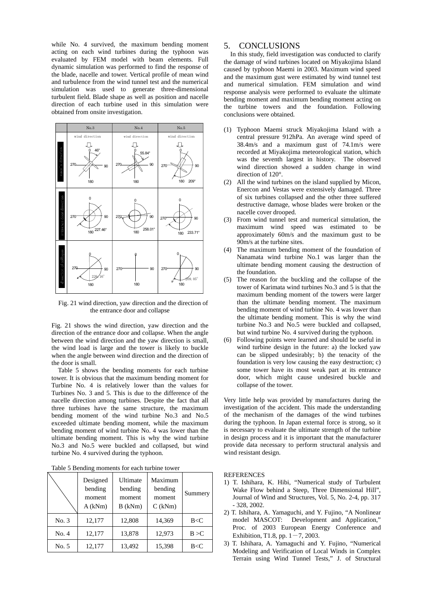while No. 4 survived, the maximum bending moment acting on each wind turbines during the typhoon was evaluated by FEM model with beam elements. Full dynamic simulation was performed to find the response of the blade, nacelle and tower. Vertical profile of mean wind and turbulence from the wind tunnel test and the numerical simulation was used to generate three-dimensional turbulent field. Blade shape as well as position and nacelle direction of each turbine used in this simulation were obtained from onsite investigation.



Fig. 21 wind direction, yaw direction and the direction of the entrance door and collapse

Fig. 21 shows the wind direction, yaw direction and the direction of the entrance door and collapse. When the angle between the wind direction and the yaw direction is small, the wind load is large and the tower is likely to buckle when the angle between wind direction and the direction of the door is small.

Table 5 shows the bending moments for each turbine tower. It is obvious that the maximum bending moment for Turbine No. 4 is relatively lower than the values for Turbines No. 3 and 5. This is due to the difference of the nacelle direction among turbines. Despite the fact that all three turbines have the same structure, the maximum bending moment of the wind turbine No.3 and No.5 exceeded ultimate bending moment, while the maximum bending moment of wind turbine No. 4 was lower than the ultimate bending moment. This is why the wind turbine No.3 and No.5 were buckled and collapsed, but wind turbine No. 4 survived during the typhoon.

| Table 5 Bending moments for each turbine tower |  |  |  |  |
|------------------------------------------------|--|--|--|--|
|------------------------------------------------|--|--|--|--|

|       | Designed<br>bending<br>moment<br>A(kNm) | <b>Ultimate</b><br>bending<br>moment<br>$B$ (kNm) | Maximum<br>bending<br>moment<br>$C$ (kNm) | Summery |
|-------|-----------------------------------------|---------------------------------------------------|-------------------------------------------|---------|
| No. 3 | 12,177                                  | 12,808                                            | 14,369                                    | B < C   |
| No. 4 | 12,177                                  | 13,878                                            | 12.973                                    | B > C   |
| No. 5 | 12,177                                  | 13,492                                            | 15,398                                    | B < C   |

# 5. CONCLUSIONS

In this study, field investigation was conducted to clarify the damage of wind turbines located on Miyakojima Island caused by typhoon Maemi in 2003. Maximum wind speed and the maximum gust were estimated by wind tunnel test and numerical simulation. FEM simulation and wind response analysis were performed to evaluate the ultimate bending moment and maximum bending moment acting on the turbine towers and the foundation. Following conclusions were obtained.

- (1) Typhoon Maemi struck Miyakojima Island with a central pressure 912hPa. An average wind speed of 38.4m/s and a maximum gust of 74.1m/s were recorded at Miyakojima meteorological station, which was the seventh largest in history. The observed wind direction showed a sudden change in wind direction of 120°.
- (2) All the wind turbines on the island supplied by Micon, Enercon and Vestas were extensively damaged. Three of six turbines collapsed and the other three suffered destructive damage, whose blades were broken or the nacelle cover drooped.
- (3) From wind tunnel test and numerical simulation, the maximum wind speed was estimated to be approximately 60m/s and the maximum gust to be 90m/s at the turbine sites.
- (4) The maximum bending moment of the foundation of Nanamata wind turbine No.1 was larger than the ultimate bending moment causing the destruction of the foundation.
- (5) The reason for the buckling and the collapse of the tower of Karimata wind turbines No.3 and 5 is that the maximum bending moment of the towers were larger than the ultimate bending moment. The maximum bending moment of wind turbine No. 4 was lower than the ultimate bending moment. This is why the wind turbine No.3 and No.5 were buckled and collapsed, but wind turbine No. 4 survived during the typhoon.
- (6) Following points were learned and should be useful in wind turbine design in the future: a) the locked yaw can be slipped undesirably; b) the tenacity of the foundation is very low causing the easy destruction; c) some tower have its most weak part at its entrance door, which might cause undesired buckle and collapse of the tower.

Very little help was provided by manufactures during the investigation of the accident. This made the understanding of the mechanism of the damages of the wind turbines during the typhoon. In Japan external force is strong, so it is necessary to evaluate the ultimate strength of the turbine in design process and it is important that the manufacturer provide data necessary to perform structural analysis and wind resistant design.

### **REFERENCES**

- 1) T. Ishihara, K. Hibi, "Numerical study of Turbulent Wake Flow behind a Steep, Three Dimensional Hill", Journal of Wind and Structures, Vol. 5, No. 2-4, pp. 317 - 328, 2002.
- 2) T. Ishihara, A. Yamaguchi, and Y. Fujino, "A Nonlinear model MASCOT: Development and Application," Proc. of 2003 European Energy Conference and Exhibition, T1.8, pp.  $1 - 7$ , 2003.
- 3) T. Ishihara, A. Yamaguchi and Y. Fujino, "Numerical Modeling and Verification of Local Winds in Complex Terrain using Wind Tunnel Tests," J. of Structural